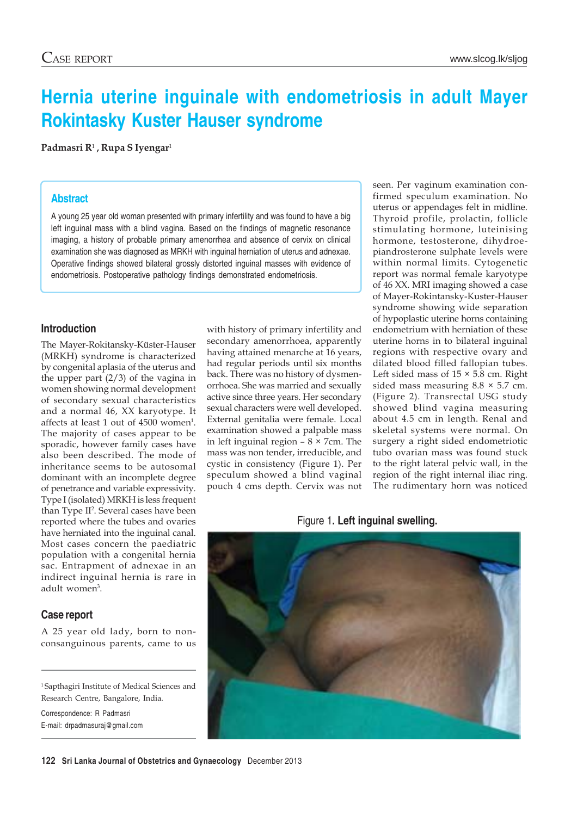# **Hernia uterine inguinale with endometriosis in adult Mayer Rokintasky Kuster Hauser syndrome**

**Padmasri R**1 **, Rupa S Iyengar**<sup>1</sup>

#### **Abstract**

A young 25 year old woman presented with primary infertility and was found to have a big left inguinal mass with a blind vagina. Based on the findings of magnetic resonance imaging, a history of probable primary amenorrhea and absence of cervix on clinical examination she was diagnosed as MRKH with inguinal herniation of uterus and adnexae. Operative findings showed bilateral grossly distorted inguinal masses with evidence of endometriosis. Postoperative pathology findings demonstrated endometriosis.

#### **Introduction**

The Mayer-Rokitansky-Küster-Hauser (MRKH) syndrome is characterized by congenital aplasia of the uterus and the upper part (2/3) of the vagina in women showing normal development of secondary sexual characteristics and a normal 46, XX karyotype. It affects at least 1 out of 4500 women<sup>1</sup>. The majority of cases appear to be sporadic, however family cases have also been described. The mode of inheritance seems to be autosomal dominant with an incomplete degree of penetrance and variable expressivity. Type I (isolated) MRKH is less frequent than Type II2 . Several cases have been reported where the tubes and ovaries have herniated into the inguinal canal. Most cases concern the paediatric population with a congenital hernia sac. Entrapment of adnexae in an indirect inguinal hernia is rare in adult women<sup>3</sup>.

### **Case report**

A 25 year old lady, born to nonconsanguinous parents, came to us

1 Sapthagiri Institute of Medical Sciences and Research Centre, Bangalore, India.

Correspondence: R Padmasri E-mail: drpadmasuraj@gmail.com

with history of primary infertility and secondary amenorrhoea, apparently having attained menarche at 16 years, had regular periods until six months back. There was no history of dysmenorrhoea. She was married and sexually active since three years. Her secondary sexual characters were well developed. External genitalia were female. Local examination showed a palpable mass in left inguinal region  $-8 \times 7$ cm. The mass was non tender, irreducible, and cystic in consistency (Figure 1). Per speculum showed a blind vaginal pouch 4 cms depth. Cervix was not

seen. Per vaginum examination confirmed speculum examination. No uterus or appendages felt in midline. Thyroid profile, prolactin, follicle stimulating hormone, luteinising hormone, testosterone, dihydroepiandrosterone sulphate levels were within normal limits. Cytogenetic report was normal female karyotype of 46 XX. MRI imaging showed a case of Mayer-Rokintansky-Kuster-Hauser syndrome showing wide separation of hypoplastic uterine horns containing endometrium with herniation of these uterine horns in to bilateral inguinal regions with respective ovary and dilated blood filled fallopian tubes. Left sided mass of  $15 \times 5.8$  cm. Right sided mass measuring  $8.8 \times 5.7$  cm. (Figure 2). Transrectal USG study showed blind vagina measuring about 4.5 cm in length. Renal and skeletal systems were normal. On surgery a right sided endometriotic tubo ovarian mass was found stuck to the right lateral pelvic wall, in the region of the right internal iliac ring. The rudimentary horn was noticed

Figure 1**. Left inguinal swelling.**

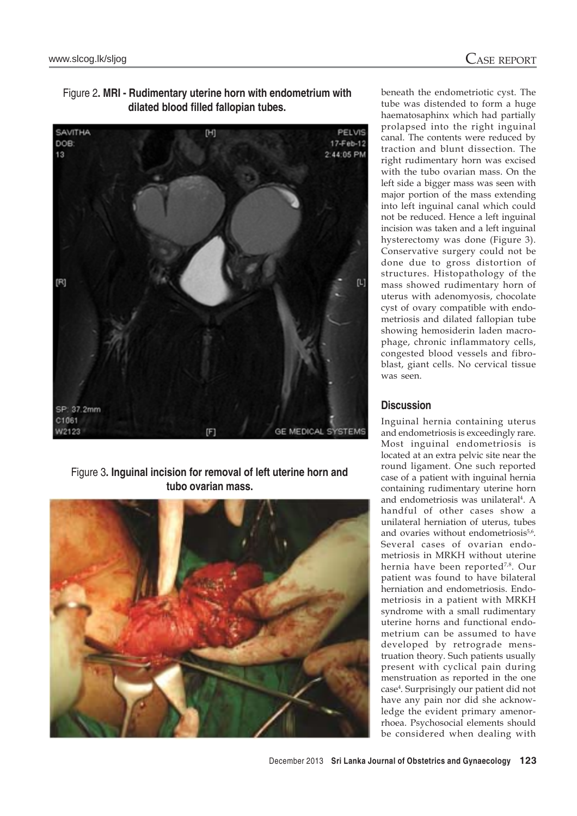

Figure 2**. MRI - Rudimentary uterine horn with endometrium with dilated blood filled fallopian tubes.**

Figure 3**. Inguinal incision for removal of left uterine horn and tubo ovarian mass.**



beneath the endometriotic cyst. The tube was distended to form a huge haematosaphinx which had partially prolapsed into the right inguinal canal. The contents were reduced by traction and blunt dissection. The right rudimentary horn was excised with the tubo ovarian mass. On the left side a bigger mass was seen with major portion of the mass extending into left inguinal canal which could not be reduced. Hence a left inguinal incision was taken and a left inguinal hysterectomy was done (Figure 3). Conservative surgery could not be done due to gross distortion of structures. Histopathology of the mass showed rudimentary horn of uterus with adenomyosis, chocolate cyst of ovary compatible with endometriosis and dilated fallopian tube showing hemosiderin laden macrophage, chronic inflammatory cells, congested blood vessels and fibroblast, giant cells. No cervical tissue was seen.

## **Discussion**

Inguinal hernia containing uterus and endometriosis is exceedingly rare. Most inguinal endometriosis is located at an extra pelvic site near the round ligament. One such reported case of a patient with inguinal hernia containing rudimentary uterine horn and endometriosis was unilateral<sup>4</sup>. A handful of other cases show a unilateral herniation of uterus, tubes and ovaries without endometriosis<sup>5,6</sup>. Several cases of ovarian endometriosis in MRKH without uterine hernia have been reported<sup>7,8</sup>. Our patient was found to have bilateral herniation and endometriosis. Endometriosis in a patient with MRKH syndrome with a small rudimentary uterine horns and functional endometrium can be assumed to have developed by retrograde menstruation theory. Such patients usually present with cyclical pain during menstruation as reported in the one case4 . Surprisingly our patient did not have any pain nor did she acknowledge the evident primary amenorrhoea. Psychosocial elements should be considered when dealing with